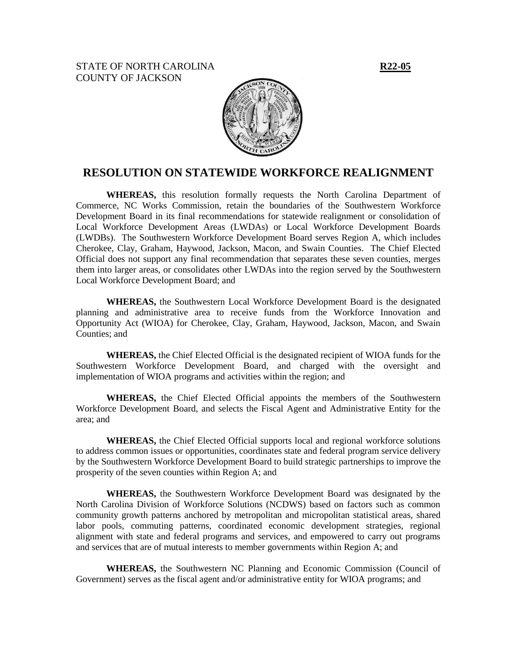STATE OF NORTH CAROLINA **R22-05** COUNTY OF JACKSON



## **RESOLUTION ON STATEWIDE WORKFORCE REALIGNMENT**

**WHEREAS,** this resolution formally requests the North Carolina Department of Commerce, NC Works Commission, retain the boundaries of the Southwestern Workforce Development Board in its final recommendations for statewide realignment or consolidation of Local Workforce Development Areas (LWDAs) or Local Workforce Development Boards (LWDBs). The Southwestern Workforce Development Board serves Region A, which includes Cherokee, Clay, Graham, Haywood, Jackson, Macon, and Swain Counties. The Chief Elected Official does not support any final recommendation that separates these seven counties, merges them into larger areas, or consolidates other LWDAs into the region served by the Southwestern Local Workforce Development Board; and

**WHEREAS,** the Southwestern Local Workforce Development Board is the designated planning and administrative area to receive funds from the Workforce Innovation and Opportunity Act (WIOA) for Cherokee, Clay, Graham, Haywood, Jackson, Macon, and Swain Counties; and

**WHEREAS,** the Chief Elected Official is the designated recipient of WIOA funds for the Southwestern Workforce Development Board, and charged with the oversight and implementation of WIOA programs and activities within the region; and

**WHEREAS,** the Chief Elected Official appoints the members of the Southwestern Workforce Development Board, and selects the Fiscal Agent and Administrative Entity for the area; and

**WHEREAS,** the Chief Elected Official supports local and regional workforce solutions to address common issues or opportunities, coordinates state and federal program service delivery by the Southwestern Workforce Development Board to build strategic partnerships to improve the prosperity of the seven counties within Region A; and

**WHEREAS,** the Southwestern Workforce Development Board was designated by the North Carolina Division of Workforce Solutions (NCDWS) based on factors such as common community growth patterns anchored by metropolitan and micropolitan statistical areas, shared labor pools, commuting patterns, coordinated economic development strategies, regional alignment with state and federal programs and services, and empowered to carry out programs and services that are of mutual interests to member governments within Region A; and

**WHEREAS,** the Southwestern NC Planning and Economic Commission (Council of Government) serves as the fiscal agent and/or administrative entity for WIOA programs; and